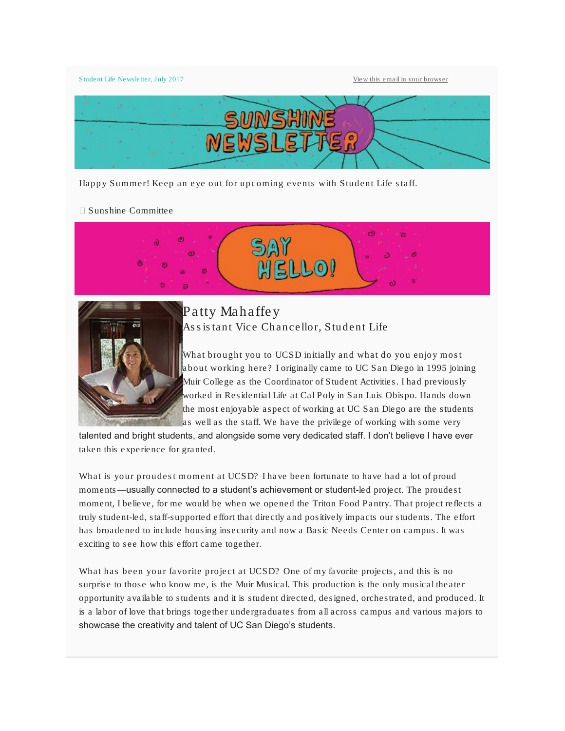Student Life Newsletter, July 2017 [View this email in your browser](http://mailchi.mp/ucsd/may-2017-sunshine-newsletter-325633?e=6e6a4b63ff)



Happy Summer! Keep an eye out for upcoming events with Student Life staff.

Sunshine Committee





Patty Mahaffey Assistant Vice Chancellor, Student Life

What brought you to UCSD initially and what do you enjoy most about working here? I originally came to UC San Diego in 1995 joining Muir College as the Coordinator of Student Activities. I had previously worked in Residential Life at Cal Poly in San Luis Obispo. Hands down the most enjoyable aspect of working at UC San Diego are the students as well as the staff. We have the privilege of working with some very

talented and bright students, and alongside some very dedicated staff. I don't believe I have ever taken this experience for granted.

What is your proudest moment at UCSD? I have been fortunate to have had a lot of proud moments—usually connected to a student's achievement or student-led project. The proudest moment, I believe, for me would be when we opened the Triton Food Pantry. That project reflects a truly student-led, staff-supported effort that directly and positively impacts our students. The effort has broadened to include housing insecurity and now a Basic Needs Center on campus. It was exciting to see how this effort came together.

What has been your favorite project at UCSD? One of my favorite projects, and this is no surprise to those who know me, is the Muir Musical. This production is the only musical theater opportunity available to students and it is student directed, designed, orchestrated, and produced. It is a labor of love that brings together undergraduates from all across campus and various majors to showcase the creativity and talent of UC San Diego's students.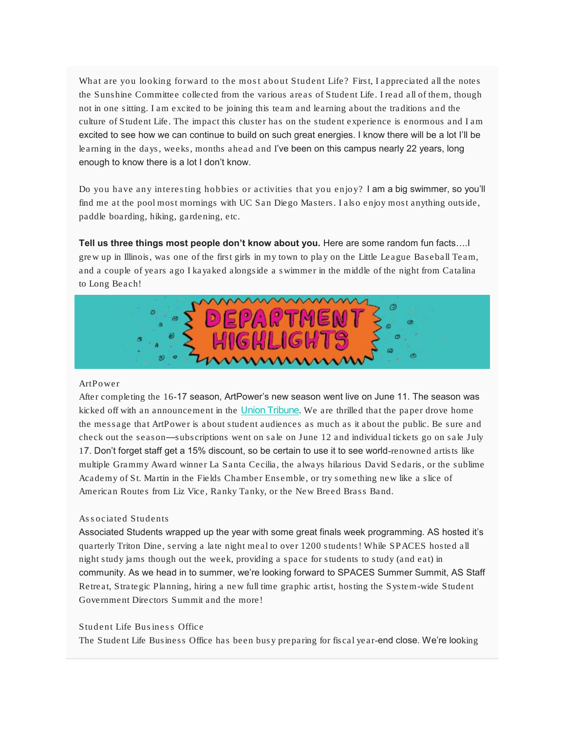What are you looking forward to the most about Student Life? First, I appreciated all the notes the Sunshine Committee collected from the various areas of Student Life. I read all of them, though not in one sitting. I am excited to be joining this team and learning about the traditions and the culture of Student Life. The impact this cluster has on the student experience is enormous and I am excited to see how we can continue to build on such great energies. I know there will be a lot I'll be learning in the days, weeks, months ahead and I've been on this campus nearly 22 years, long enough to know there is a lot I don't know.

Do you have any interesting hobbies or activities that you enjoy? I am a big swimmer, so you'll find me at the pool most mornings with UC San Diego Masters. I also enjoy most anything outside, paddle boarding, hiking, gardening, etc.

Tell us three things most people don't know about you. Here are some random fun facts….I grew up in Illinois, was one of the first girls in my town to play on the Little League Baseball Team, and a couple of years ago I kayaked alongside a swimmer in the middle of the night from Catalina to Long Beach!



#### ArtPower

After completing the 16-17 season, ArtPower's new season went live on June 11. The season was kicked off with an announcement in the *[Union Tribune](http://www.sandiegouniontribune.com/entertainment/music/sd-et-music-art-power-20170606-story.html)*. We are thrilled that the paper drove home the message that ArtPower is about student audiences as much as it about the public. Be sure and check out the season—subscriptions went on sale on June 12 and individual tickets go on sale July 17. Don't forget staff get a 15% discount, so be certain to use it to see world-renowned artists like multiple Grammy Award winner La Santa Cecilia, the always hilarious David Sedaris, or the sublime Academy of St. Martin in the Fields Chamber Ensemble, or try something new like a slice of American Routes from Liz Vice, Ranky Tanky, or the New Breed Brass Band.

# Associated Students

Associated Students wrapped up the year with some great finals week programming. AS hosted it's quarterly Triton Dine, serving a late night meal to over 1200 students! While SPACES hosted all night study jams though out the week, providing a space for students to study (and eat) in community. As we head in to summer, we're looking forward to SPACES Summer Summit, AS Staff Retreat, Strategic Planning, hiring a new full time graphic artist, hosting the System-wide Student Government Directors Summit and the more!

# Student Life Business Office

The Student Life Business Office has been busy preparing for fiscal year-end close. We're looking